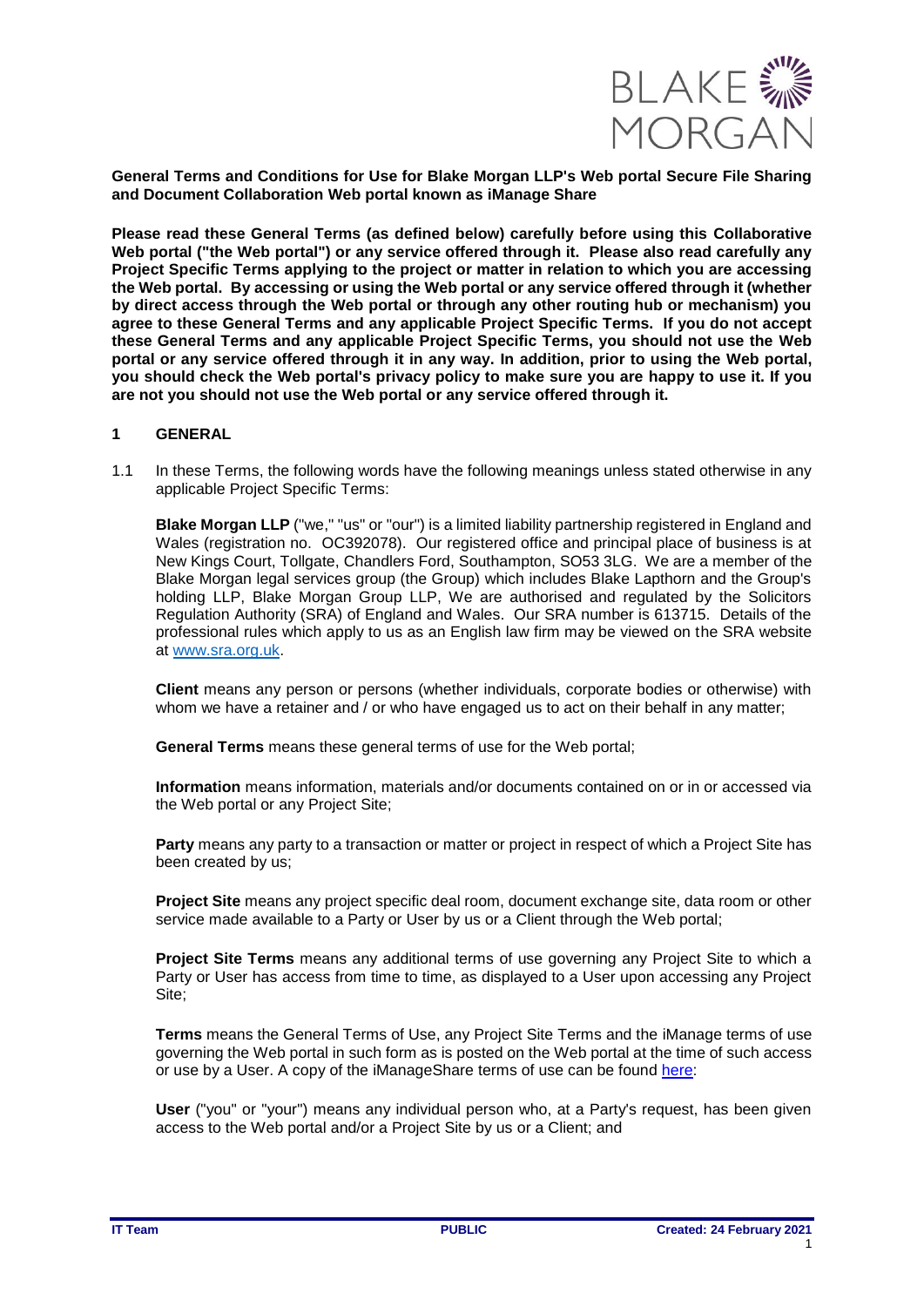

**General Terms and Conditions for Use for Blake Morgan LLP's Web portal Secure File Sharing and Document Collaboration Web portal known as iManage Share**

**Please read these General Terms (as defined below) carefully before using this Collaborative Web portal ("the Web portal") or any service offered through it. Please also read carefully any Project Specific Terms applying to the project or matter in relation to which you are accessing the Web portal. By accessing or using the Web portal or any service offered through it (whether by direct access through the Web portal or through any other routing hub or mechanism) you agree to these General Terms and any applicable Project Specific Terms. If you do not accept these General Terms and any applicable Project Specific Terms, you should not use the Web portal or any service offered through it in any way. In addition, prior to using the Web portal, you should check the Web portal's privacy policy to make sure you are happy to use it. If you are not you should not use the Web portal or any service offered through it.** 

# **1 GENERAL**

1.1 In these Terms, the following words have the following meanings unless stated otherwise in any applicable Project Specific Terms:

**Blake Morgan LLP** ("we," "us" or "our") is a limited liability partnership registered in England and Wales (registration no. OC392078). Our registered office and principal place of business is at New Kings Court, Tollgate, Chandlers Ford, Southampton, SO53 3LG. We are a member of the Blake Morgan legal services group (the Group) which includes Blake Lapthorn and the Group's holding LLP, Blake Morgan Group LLP, We are authorised and regulated by the Solicitors Regulation Authority (SRA) of England and Wales. Our SRA number is 613715. Details of the professional rules which apply to us as an English law firm may be viewed on the SRA website at [www.sra.org.uk.](http://www.sra.org.uk/)

**Client** means any person or persons (whether individuals, corporate bodies or otherwise) with whom we have a retainer and / or who have engaged us to act on their behalf in any matter;

**General Terms** means these general terms of use for the Web portal;

**Information** means information, materials and/or documents contained on or in or accessed via the Web portal or any Project Site;

**Party** means any party to a transaction or matter or project in respect of which a Project Site has been created by us;

**Project Site** means any project specific deal room, document exchange site, data room or other service made available to a Party or User by us or a Client through the Web portal;

**Project Site Terms** means any additional terms of use governing any Project Site to which a Party or User has access from time to time, as displayed to a User upon accessing any Project Site;

**Terms** means the General Terms of Use, any Project Site Terms and the iManage terms of use governing the Web portal in such form as is posted on the Web portal at the time of such access or use by a User. A copy of the iManageShare terms of use can be found [here:](https://www.imanageshare.co.uk/admin.html#terms)

**User** ("you" or "your") means any individual person who, at a Party's request, has been given access to the Web portal and/or a Project Site by us or a Client; and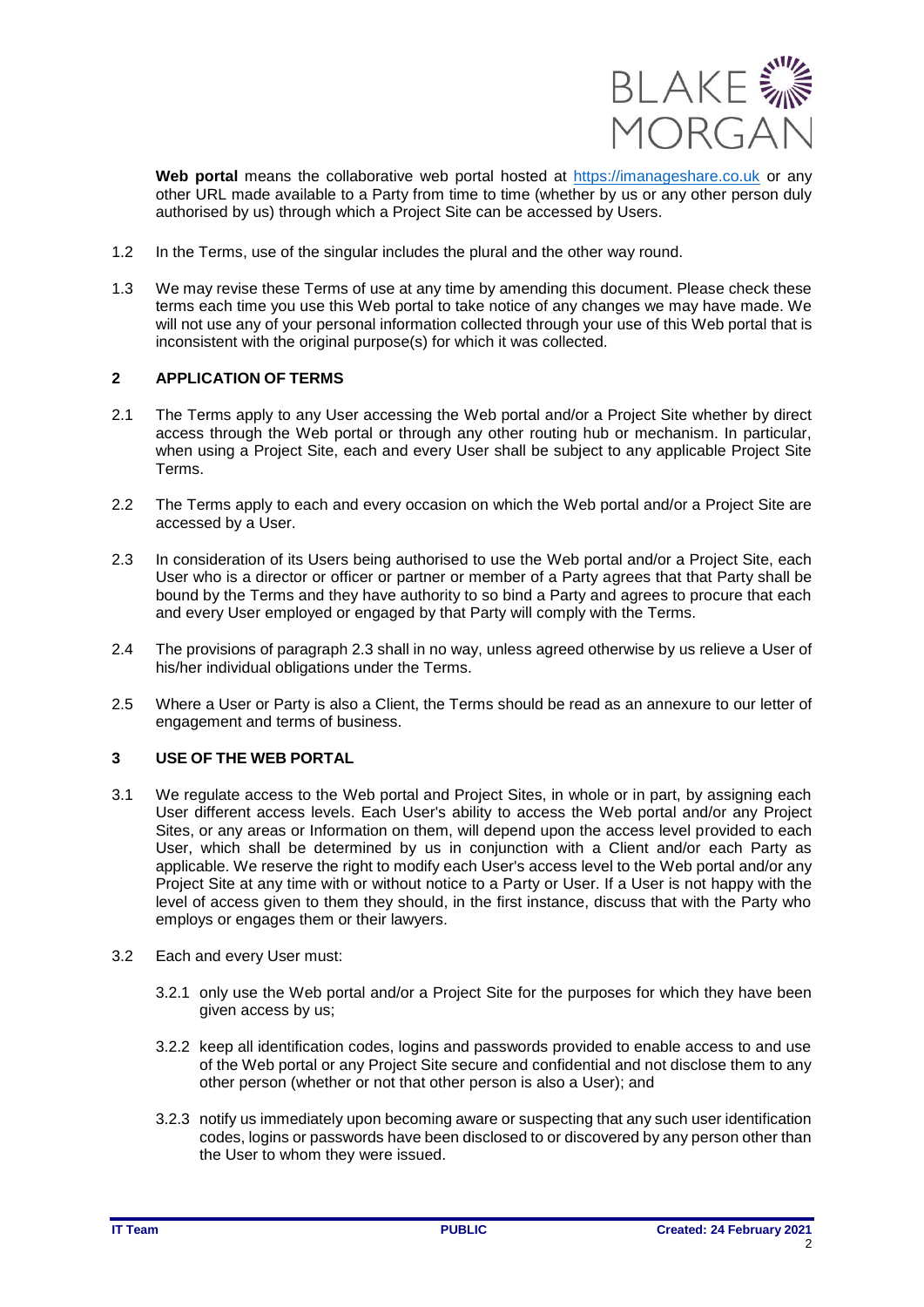

**Web portal** means the collaborative web portal hosted at [https://imanageshare.co.uk](https://imanageshare.co.uk/) or any other URL made available to a Party from time to time (whether by us or any other person duly authorised by us) through which a Project Site can be accessed by Users.

- 1.2 In the Terms, use of the singular includes the plural and the other way round.
- 1.3 We may revise these Terms of use at any time by amending this document. Please check these terms each time you use this Web portal to take notice of any changes we may have made. We will not use any of your personal information collected through your use of this Web portal that is inconsistent with the original purpose(s) for which it was collected.

### **2 APPLICATION OF TERMS**

- 2.1 The Terms apply to any User accessing the Web portal and/or a Project Site whether by direct access through the Web portal or through any other routing hub or mechanism. In particular, when using a Project Site, each and every User shall be subject to any applicable Project Site Terms.
- 2.2 The Terms apply to each and every occasion on which the Web portal and/or a Project Site are accessed by a User.
- 2.3 In consideration of its Users being authorised to use the Web portal and/or a Project Site, each User who is a director or officer or partner or member of a Party agrees that that Party shall be bound by the Terms and they have authority to so bind a Party and agrees to procure that each and every User employed or engaged by that Party will comply with the Terms.
- 2.4 The provisions of paragraph 2.3 shall in no way, unless agreed otherwise by us relieve a User of his/her individual obligations under the Terms.
- 2.5 Where a User or Party is also a Client, the Terms should be read as an annexure to our letter of engagement and terms of business.

## **3 USE OF THE WEB PORTAL**

- 3.1 We regulate access to the Web portal and Project Sites, in whole or in part, by assigning each User different access levels. Each User's ability to access the Web portal and/or any Project Sites, or any areas or Information on them, will depend upon the access level provided to each User, which shall be determined by us in conjunction with a Client and/or each Party as applicable. We reserve the right to modify each User's access level to the Web portal and/or any Project Site at any time with or without notice to a Party or User. If a User is not happy with the level of access given to them they should, in the first instance, discuss that with the Party who employs or engages them or their lawyers.
- 3.2 Each and every User must:
	- 3.2.1 only use the Web portal and/or a Project Site for the purposes for which they have been given access by us;
	- 3.2.2 keep all identification codes, logins and passwords provided to enable access to and use of the Web portal or any Project Site secure and confidential and not disclose them to any other person (whether or not that other person is also a User); and
	- 3.2.3 notify us immediately upon becoming aware or suspecting that any such user identification codes, logins or passwords have been disclosed to or discovered by any person other than the User to whom they were issued.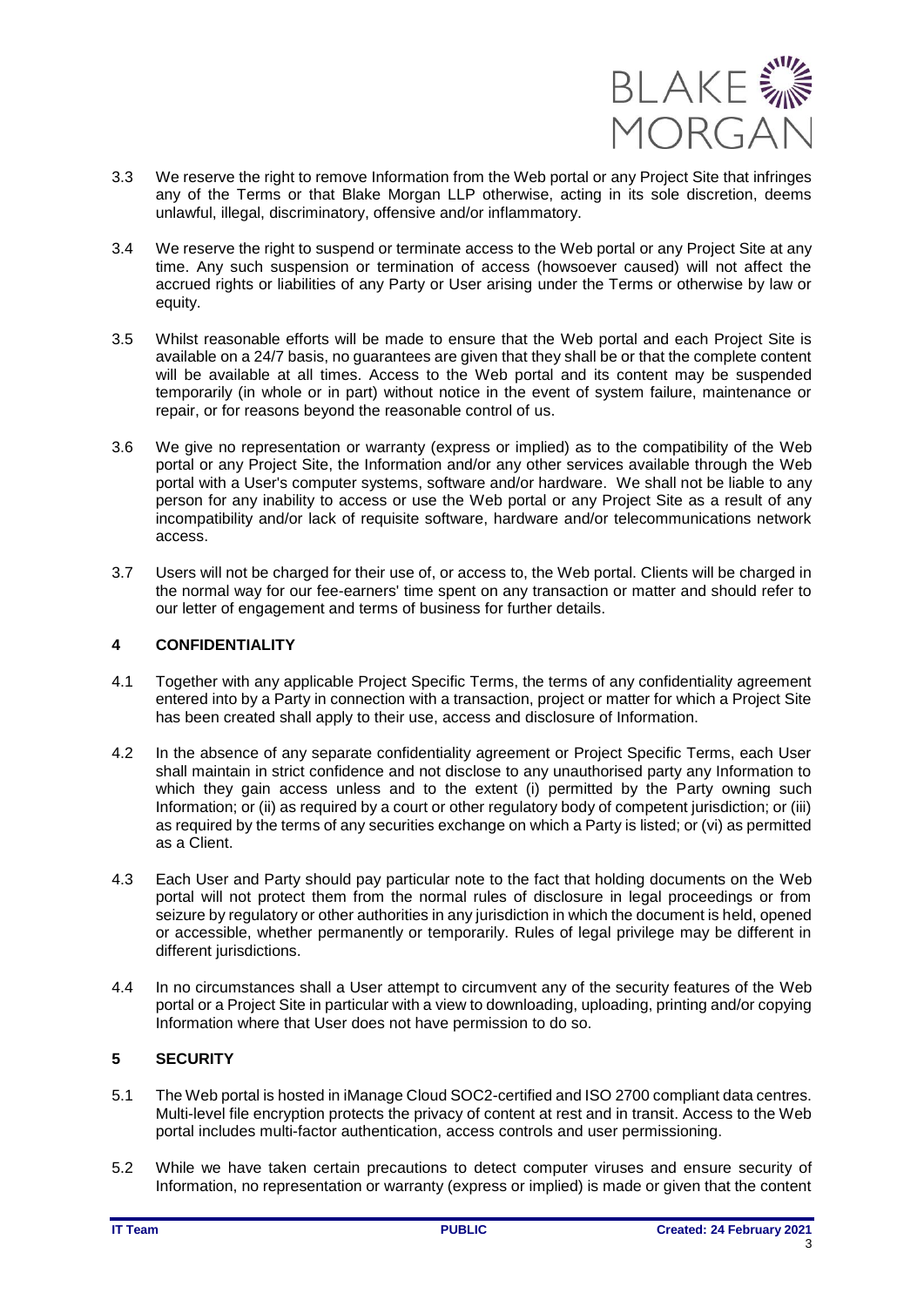

- 3.3 We reserve the right to remove Information from the Web portal or any Project Site that infringes any of the Terms or that Blake Morgan LLP otherwise, acting in its sole discretion, deems unlawful, illegal, discriminatory, offensive and/or inflammatory.
- 3.4 We reserve the right to suspend or terminate access to the Web portal or any Project Site at any time. Any such suspension or termination of access (howsoever caused) will not affect the accrued rights or liabilities of any Party or User arising under the Terms or otherwise by law or equity.
- 3.5 Whilst reasonable efforts will be made to ensure that the Web portal and each Project Site is available on a 24/7 basis, no guarantees are given that they shall be or that the complete content will be available at all times. Access to the Web portal and its content may be suspended temporarily (in whole or in part) without notice in the event of system failure, maintenance or repair, or for reasons beyond the reasonable control of us.
- 3.6 We give no representation or warranty (express or implied) as to the compatibility of the Web portal or any Project Site, the Information and/or any other services available through the Web portal with a User's computer systems, software and/or hardware. We shall not be liable to any person for any inability to access or use the Web portal or any Project Site as a result of any incompatibility and/or lack of requisite software, hardware and/or telecommunications network access.
- 3.7 Users will not be charged for their use of, or access to, the Web portal. Clients will be charged in the normal way for our fee-earners' time spent on any transaction or matter and should refer to our letter of engagement and terms of business for further details.

# **4 CONFIDENTIALITY**

- 4.1 Together with any applicable Project Specific Terms, the terms of any confidentiality agreement entered into by a Party in connection with a transaction, project or matter for which a Project Site has been created shall apply to their use, access and disclosure of Information.
- 4.2 In the absence of any separate confidentiality agreement or Project Specific Terms, each User shall maintain in strict confidence and not disclose to any unauthorised party any Information to which they gain access unless and to the extent (i) permitted by the Party owning such Information; or (ii) as required by a court or other regulatory body of competent jurisdiction; or (iii) as required by the terms of any securities exchange on which a Party is listed; or (vi) as permitted as a Client.
- 4.3 Each User and Party should pay particular note to the fact that holding documents on the Web portal will not protect them from the normal rules of disclosure in legal proceedings or from seizure by regulatory or other authorities in any jurisdiction in which the document is held, opened or accessible, whether permanently or temporarily. Rules of legal privilege may be different in different jurisdictions.
- 4.4 In no circumstances shall a User attempt to circumvent any of the security features of the Web portal or a Project Site in particular with a view to downloading, uploading, printing and/or copying Information where that User does not have permission to do so.

# **5 SECURITY**

- 5.1 The Web portal is hosted in iManage Cloud SOC2-certified and ISO 2700 compliant data centres. Multi-level file encryption protects the privacy of content at rest and in transit. Access to the Web portal includes multi-factor authentication, access controls and user permissioning.
- 5.2 While we have taken certain precautions to detect computer viruses and ensure security of Information, no representation or warranty (express or implied) is made or given that the content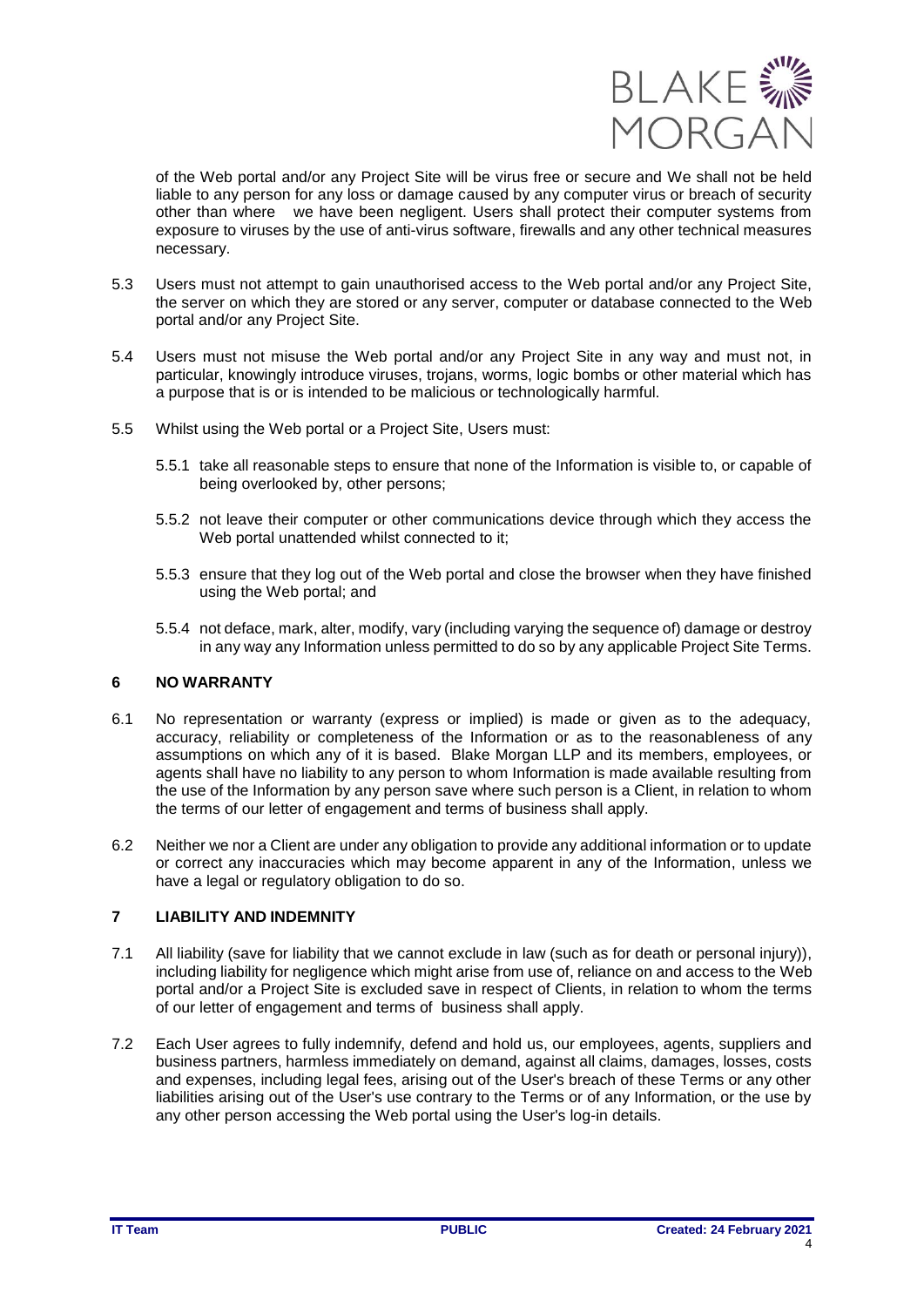

of the Web portal and/or any Project Site will be virus free or secure and We shall not be held liable to any person for any loss or damage caused by any computer virus or breach of security other than where we have been negligent. Users shall protect their computer systems from exposure to viruses by the use of anti-virus software, firewalls and any other technical measures necessary.

- 5.3 Users must not attempt to gain unauthorised access to the Web portal and/or any Project Site, the server on which they are stored or any server, computer or database connected to the Web portal and/or any Project Site.
- 5.4 Users must not misuse the Web portal and/or any Project Site in any way and must not, in particular, knowingly introduce viruses, trojans, worms, logic bombs or other material which has a purpose that is or is intended to be malicious or technologically harmful.
- 5.5 Whilst using the Web portal or a Project Site, Users must:
	- 5.5.1 take all reasonable steps to ensure that none of the Information is visible to, or capable of being overlooked by, other persons;
	- 5.5.2 not leave their computer or other communications device through which they access the Web portal unattended whilst connected to it;
	- 5.5.3 ensure that they log out of the Web portal and close the browser when they have finished using the Web portal; and
	- 5.5.4 not deface, mark, alter, modify, vary (including varying the sequence of) damage or destroy in any way any Information unless permitted to do so by any applicable Project Site Terms.

# **6 NO WARRANTY**

- 6.1 No representation or warranty (express or implied) is made or given as to the adequacy, accuracy, reliability or completeness of the Information or as to the reasonableness of any assumptions on which any of it is based. Blake Morgan LLP and its members, employees, or agents shall have no liability to any person to whom Information is made available resulting from the use of the Information by any person save where such person is a Client, in relation to whom the terms of our letter of engagement and terms of business shall apply.
- 6.2 Neither we nor a Client are under any obligation to provide any additional information or to update or correct any inaccuracies which may become apparent in any of the Information, unless we have a legal or regulatory obligation to do so.

# **7 LIABILITY AND INDEMNITY**

- 7.1 All liability (save for liability that we cannot exclude in law (such as for death or personal injury)), including liability for negligence which might arise from use of, reliance on and access to the Web portal and/or a Project Site is excluded save in respect of Clients, in relation to whom the terms of our letter of engagement and terms of business shall apply.
- 7.2 Each User agrees to fully indemnify, defend and hold us, our employees, agents, suppliers and business partners, harmless immediately on demand, against all claims, damages, losses, costs and expenses, including legal fees, arising out of the User's breach of these Terms or any other liabilities arising out of the User's use contrary to the Terms or of any Information, or the use by any other person accessing the Web portal using the User's log-in details.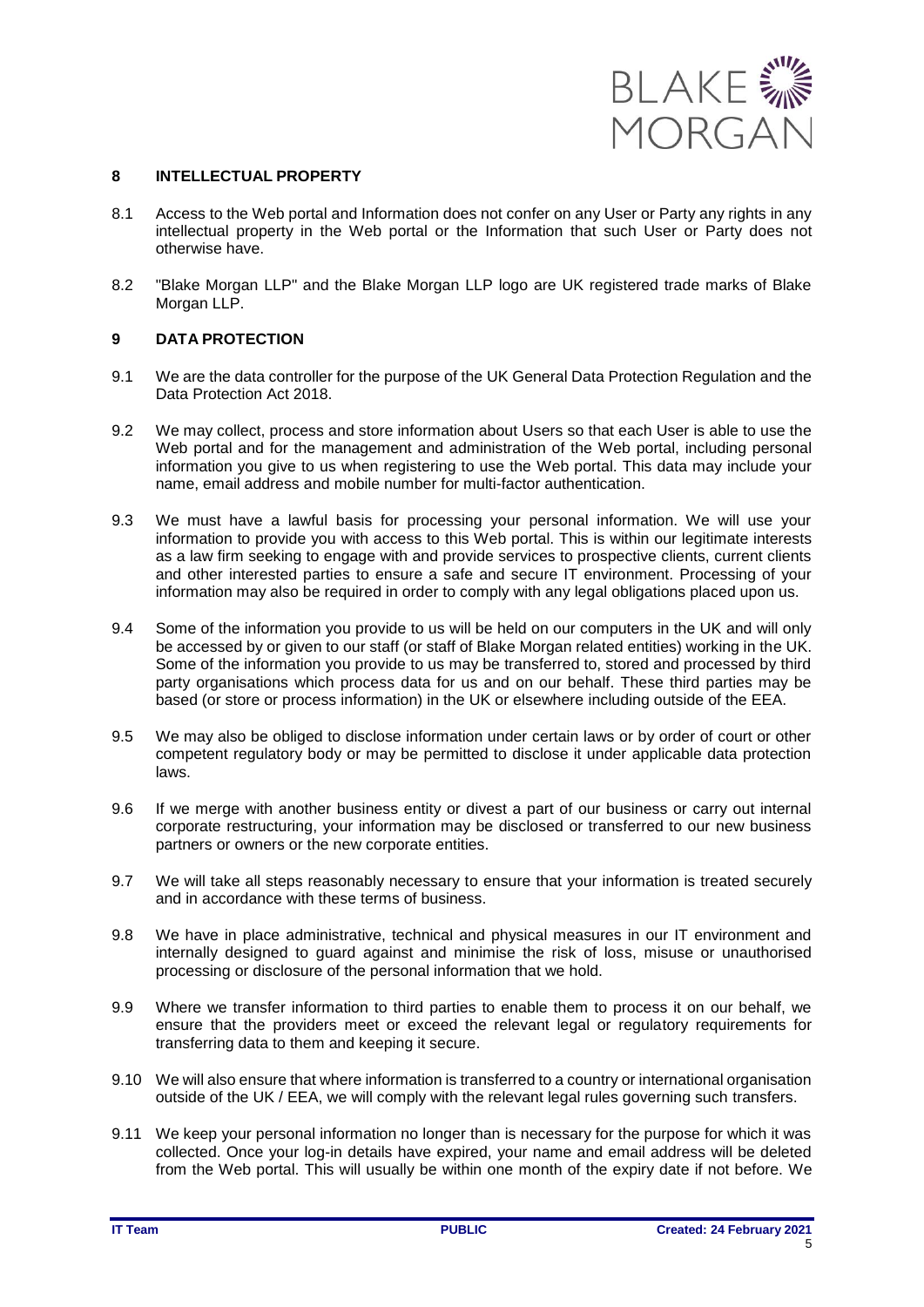

#### **8 INTELLECTUAL PROPERTY**

- 8.1 Access to the Web portal and Information does not confer on any User or Party any rights in any intellectual property in the Web portal or the Information that such User or Party does not otherwise have.
- 8.2 "Blake Morgan LLP" and the Blake Morgan LLP logo are UK registered trade marks of Blake Morgan LLP.

### **9 DATA PROTECTION**

- 9.1 We are the data controller for the purpose of the UK General Data Protection Regulation and the Data Protection Act 2018.
- 9.2 We may collect, process and store information about Users so that each User is able to use the Web portal and for the management and administration of the Web portal, including personal information you give to us when registering to use the Web portal. This data may include your name, email address and mobile number for multi-factor authentication.
- 9.3 We must have a lawful basis for processing your personal information. We will use your information to provide you with access to this Web portal. This is within our legitimate interests as a law firm seeking to engage with and provide services to prospective clients, current clients and other interested parties to ensure a safe and secure IT environment. Processing of your information may also be required in order to comply with any legal obligations placed upon us.
- 9.4 Some of the information you provide to us will be held on our computers in the UK and will only be accessed by or given to our staff (or staff of Blake Morgan related entities) working in the UK. Some of the information you provide to us may be transferred to, stored and processed by third party organisations which process data for us and on our behalf. These third parties may be based (or store or process information) in the UK or elsewhere including outside of the EEA.
- 9.5 We may also be obliged to disclose information under certain laws or by order of court or other competent regulatory body or may be permitted to disclose it under applicable data protection laws.
- 9.6 If we merge with another business entity or divest a part of our business or carry out internal corporate restructuring, your information may be disclosed or transferred to our new business partners or owners or the new corporate entities.
- 9.7 We will take all steps reasonably necessary to ensure that your information is treated securely and in accordance with these terms of business.
- 9.8 We have in place administrative, technical and physical measures in our IT environment and internally designed to guard against and minimise the risk of loss, misuse or unauthorised processing or disclosure of the personal information that we hold.
- 9.9 Where we transfer information to third parties to enable them to process it on our behalf, we ensure that the providers meet or exceed the relevant legal or regulatory requirements for transferring data to them and keeping it secure.
- 9.10 We will also ensure that where information is transferred to a country or international organisation outside of the UK / EEA, we will comply with the relevant legal rules governing such transfers.
- 9.11 We keep your personal information no longer than is necessary for the purpose for which it was collected. Once your log-in details have expired, your name and email address will be deleted from the Web portal. This will usually be within one month of the expiry date if not before. We